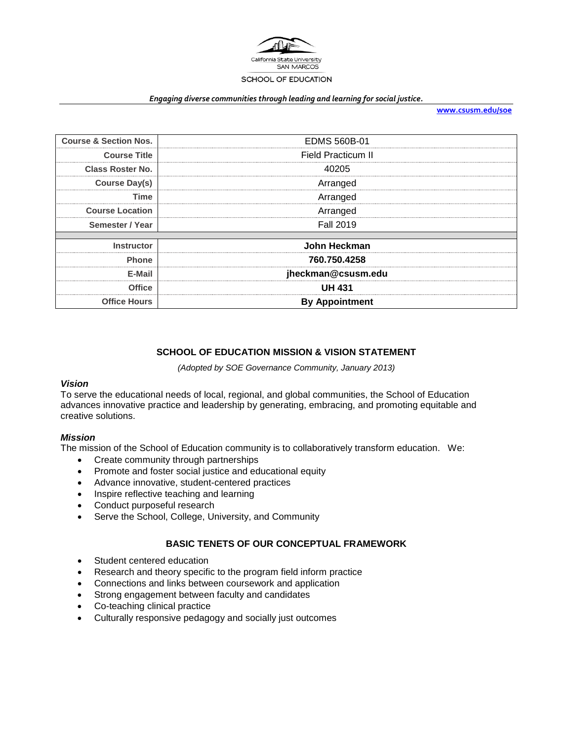

#### *Engaging diverse communities through leading and learning for social justice.*

**[www.csusm.edu/soe](http://www.csusm.edu/soe)**

| <b>Course &amp; Section Nos.</b> | <b>EDMS 560B-01</b>   |  |
|----------------------------------|-----------------------|--|
| <b>Course Title</b>              | Field Practicum II    |  |
| <b>Class Roster No.</b>          | 40205                 |  |
| <b>Course Day(s)</b>             | Arranged              |  |
| Time                             | Arranged              |  |
| <b>Course Location</b>           | Arranged              |  |
| Semester / Year                  | <b>Fall 2019</b>      |  |
|                                  |                       |  |
| <b>Instructor</b>                | John Heckman          |  |
| <b>Phone</b>                     | 760.750.4258          |  |
| E-Mail                           | jheckman@csusm.edu    |  |
| <b>Office</b>                    | <b>UH 431</b>         |  |
| <b>Office Hours</b>              | <b>By Appointment</b> |  |

# **SCHOOL OF EDUCATION MISSION & VISION STATEMENT**

*(Adopted by SOE Governance Community, January 2013)*

### *Vision*

To serve the educational needs of local, regional, and global communities, the School of Education advances innovative practice and leadership by generating, embracing, and promoting equitable and creative solutions.

## *Mission*

The mission of the School of Education community is to collaboratively transform education. We:

- Create community through partnerships
- Promote and foster social justice and educational equity
- Advance innovative, student-centered practices
- Inspire reflective teaching and learning
- Conduct purposeful research
- Serve the School, College, University, and Community

## **BASIC TENETS OF OUR CONCEPTUAL FRAMEWORK**

- Student centered education
- Research and theory specific to the program field inform practice
- Connections and links between coursework and application
- Strong engagement between faculty and candidates
- Co-teaching clinical practice
- Culturally responsive pedagogy and socially just outcomes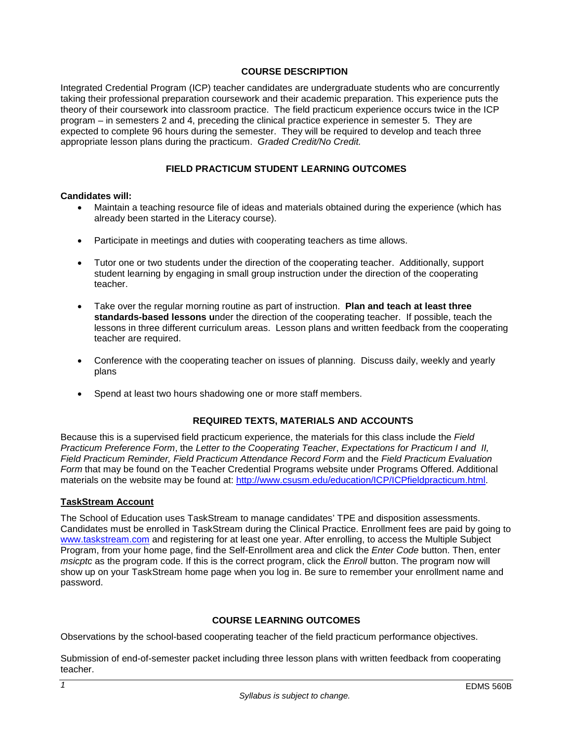### **COURSE DESCRIPTION**

Integrated Credential Program (ICP) teacher candidates are undergraduate students who are concurrently taking their professional preparation coursework and their academic preparation. This experience puts the theory of their coursework into classroom practice. The field practicum experience occurs twice in the ICP program – in semesters 2 and 4, preceding the clinical practice experience in semester 5. They are expected to complete 96 hours during the semester. They will be required to develop and teach three appropriate lesson plans during the practicum. *Graded Credit/No Credit.* 

## **FIELD PRACTICUM STUDENT LEARNING OUTCOMES**

### **Candidates will:**

- Maintain a teaching resource file of ideas and materials obtained during the experience (which has already been started in the Literacy course).
- Participate in meetings and duties with cooperating teachers as time allows.
- Tutor one or two students under the direction of the cooperating teacher. Additionally, support student learning by engaging in small group instruction under the direction of the cooperating teacher.
- Take over the regular morning routine as part of instruction. **Plan and teach at least three standards-based lessons u**nder the direction of the cooperating teacher. If possible, teach the lessons in three different curriculum areas. Lesson plans and written feedback from the cooperating teacher are required.
- Conference with the cooperating teacher on issues of planning. Discuss daily, weekly and yearly plans
- Spend at least two hours shadowing one or more staff members.

### **REQUIRED TEXTS, MATERIALS AND ACCOUNTS**

Because this is a supervised field practicum experience, the materials for this class include the *Field Practicum Preference Form*, the *Letter to the Cooperating Teacher*, *Expectations for Practicum I and II, Field Practicum Reminder, Field Practicum Attendance Record Form* and the *Field Practicum Evaluation Form* that may be found on the Teacher Credential Programs website under Programs Offered. Additional materials on the website may be found at: [http://www.csusm.edu/education/ICP/ICPfieldpracticum.html.](http://www.csusm.edu/education/ICP/ICPfieldpracticum.html)

### **TaskStream Account**

The School of Education uses TaskStream to manage candidates' TPE and disposition assessments. Candidates must be enrolled in TaskStream during the Clinical Practice. Enrollment fees are paid by going to [www.taskstream.com](http://www.taskstrem.com/) and registering for at least one year. After enrolling, to access the Multiple Subject Program, from your home page, find the Self-Enrollment area and click the *Enter Code* button. Then, enter *msicptc* as the program code. If this is the correct program, click the *Enroll* button. The program now will show up on your TaskStream home page when you log in. Be sure to remember your enrollment name and password.

### **COURSE LEARNING OUTCOMES**

Observations by the school-based cooperating teacher of the field practicum performance objectives.

Submission of end-of-semester packet including three lesson plans with written feedback from cooperating teacher.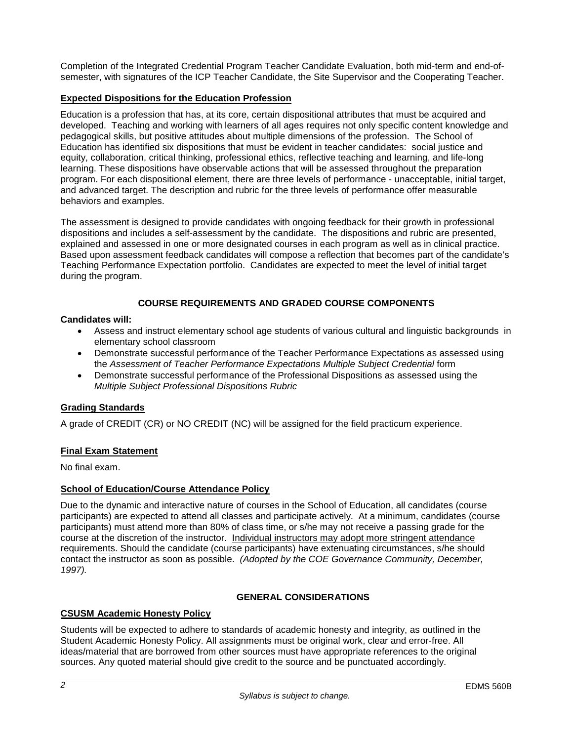Completion of the Integrated Credential Program Teacher Candidate Evaluation, both mid-term and end-ofsemester, with signatures of the ICP Teacher Candidate, the Site Supervisor and the Cooperating Teacher.

## **Expected Dispositions for the Education Profession**

Education is a profession that has, at its core, certain dispositional attributes that must be acquired and developed. Teaching and working with learners of all ages requires not only specific content knowledge and pedagogical skills, but positive attitudes about multiple dimensions of the profession. The School of Education has identified six dispositions that must be evident in teacher candidates: social justice and equity, collaboration, critical thinking, professional ethics, reflective teaching and learning, and life-long learning. These dispositions have observable actions that will be assessed throughout the preparation program. For each dispositional element, there are three levels of performance - unacceptable, initial target, and advanced target. The description and rubric for the three levels of performance offer measurable behaviors and examples.

The assessment is designed to provide candidates with ongoing feedback for their growth in professional dispositions and includes a self-assessment by the candidate. The dispositions and rubric are presented, explained and assessed in one or more designated courses in each program as well as in clinical practice. Based upon assessment feedback candidates will compose a reflection that becomes part of the candidate's Teaching Performance Expectation portfolio. Candidates are expected to meet the level of initial target during the program.

## **COURSE REQUIREMENTS AND GRADED COURSE COMPONENTS**

### **Candidates will:**

- Assess and instruct elementary school age students of various cultural and linguistic backgrounds in elementary school classroom
- Demonstrate successful performance of the Teacher Performance Expectations as assessed using the *Assessment of Teacher Performance Expectations Multiple Subject Credential* form
- Demonstrate successful performance of the Professional Dispositions as assessed using the *Multiple Subject Professional Dispositions Rubric*

## **Grading Standards**

A grade of CREDIT (CR) or NO CREDIT (NC) will be assigned for the field practicum experience.

## **Final Exam Statement**

No final exam.

## **School of Education/Course Attendance Policy**

Due to the dynamic and interactive nature of courses in the School of Education, all candidates (course participants) are expected to attend all classes and participate actively. At a minimum, candidates (course participants) must attend more than 80% of class time, or s/he may not receive a passing grade for the course at the discretion of the instructor. Individual instructors may adopt more stringent attendance requirements. Should the candidate (course participants) have extenuating circumstances, s/he should contact the instructor as soon as possible. *(Adopted by the COE Governance Community, December, 1997).*

## **GENERAL CONSIDERATIONS**

## **CSUSM Academic Honesty Policy**

Students will be expected to adhere to standards of academic honesty and integrity, as outlined in the Student Academic Honesty Policy. All assignments must be original work, clear and error-free. All ideas/material that are borrowed from other sources must have appropriate references to the original sources. Any quoted material should give credit to the source and be punctuated accordingly.